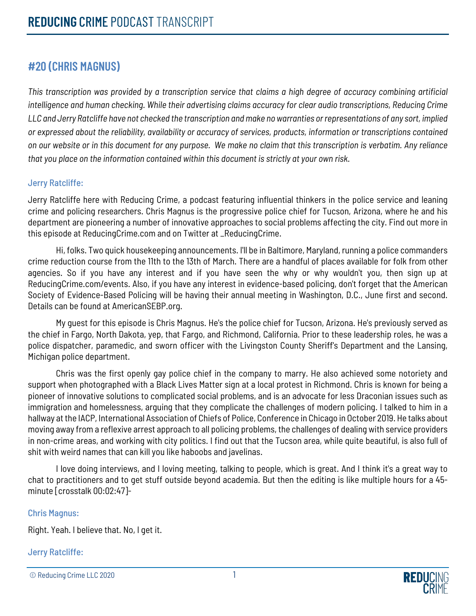# **#20 (CHRIS MAGNUS)**

*This transcription was provided by a transcription service that claims a high degree of accuracy combining artificial intelligence and human checking. While their advertising claims accuracy for clear audio transcriptions, Reducing Crime LLC and Jerry Ratcliffe have not checked the transcription and make no warranties or representations of any sort, implied or expressed about the reliability, availability or accuracy of services, products, information or transcriptions contained on our website or in this document for any purpose. We make no claim that this transcription is verbatim. Any reliance that you place on the information contained within this document is strictly at your own risk.*

#### Jerry Ratcliffe:

Jerry Ratcliffe here with Reducing Crime, a podcast featuring influential thinkers in the police service and leaning crime and policing researchers. Chris Magnus is the progressive police chief for Tucson, Arizona, where he and his department are pioneering a number of innovative approaches to social problems affecting the city. Find out more in this episode at ReducingCrime.com and on Twitter at \_ReducingCrime.

Hi, folks. Two quick housekeeping announcements. I'll be in Baltimore, Maryland, running a police commanders crime reduction course from the 11th to the 13th of March. There are a handful of places available for folk from other agencies. So if you have any interest and if you have seen the why or why wouldn't you, then sign up at ReducingCrime.com/events. Also, if you have any interest in evidence-based policing, don't forget that the American Society of Evidence-Based Policing will be having their annual meeting in Washington, D.C., June first and second. Details can be found at AmericanSEBP.org.

My guest for this episode is Chris Magnus. He's the police chief for Tucson, Arizona. He's previously served as the chief in Fargo, North Dakota, yep, that Fargo, and Richmond, California. Prior to these leadership roles, he was a police dispatcher, paramedic, and sworn officer with the Livingston County Sheriff's Department and the Lansing, Michigan police department.

Chris was the first openly gay police chief in the company to marry. He also achieved some notoriety and support when photographed with a Black Lives Matter sign at a local protest in Richmond. Chris is known for being a pioneer of innovative solutions to complicated social problems, and is an advocate for less Draconian issues such as immigration and homelessness, arguing that they complicate the challenges of modern policing. I talked to him in a hallway at the IACP, International Association of Chiefs of Police, Conference in Chicago in October 2019. He talks about moving away from a reflexive arrest approach to all policing problems, the challenges of dealing with service providers in non-crime areas, and working with city politics. I find out that the Tucson area, while quite beautiful, is also full of shit with weird names that can kill you like haboobs and javelinas.

I love doing interviews, and I loving meeting, talking to people, which is great. And I think it's a great way to chat to practitioners and to get stuff outside beyond academia. But then the editing is like multiple hours for a 45 minute [crosstalk 00:02:47]-

#### Chris Magnus:

Right. Yeah. I believe that. No, I get it.

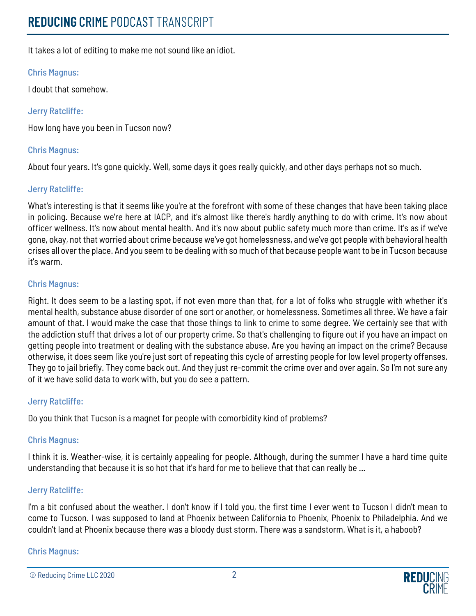It takes a lot of editing to make me not sound like an idiot.

# Chris Magnus:

I doubt that somehow.

# Jerry Ratcliffe:

How long have you been in Tucson now?

# Chris Magnus:

About four years. It's gone quickly. Well, some days it goes really quickly, and other days perhaps not so much.

# Jerry Ratcliffe:

What's interesting is that it seems like you're at the forefront with some of these changes that have been taking place in policing. Because we're here at IACP, and it's almost like there's hardly anything to do with crime. It's now about officer wellness. It's now about mental health. And it's now about public safety much more than crime. It's as if we've gone, okay, not that worried about crime because we've got homelessness, and we've got people with behavioral health crises all over the place. And you seem to be dealing with so much of that because people want to be in Tucson because it's warm.

# Chris Magnus:

Right. It does seem to be a lasting spot, if not even more than that, for a lot of folks who struggle with whether it's mental health, substance abuse disorder of one sort or another, or homelessness. Sometimes all three. We have a fair amount of that. I would make the case that those things to link to crime to some degree. We certainly see that with the addiction stuff that drives a lot of our property crime. So that's challenging to figure out if you have an impact on getting people into treatment or dealing with the substance abuse. Are you having an impact on the crime? Because otherwise, it does seem like you're just sort of repeating this cycle of arresting people for low level property offenses. They go to jail briefly. They come back out. And they just re-commit the crime over and over again. So I'm not sure any of it we have solid data to work with, but you do see a pattern.

# Jerry Ratcliffe:

Do you think that Tucson is a magnet for people with comorbidity kind of problems?

# Chris Magnus:

I think it is. Weather-wise, it is certainly appealing for people. Although, during the summer I have a hard time quite understanding that because it is so hot that it's hard for me to believe that that can really be ...

# Jerry Ratcliffe:

I'm a bit confused about the weather. I don't know if I told you, the first time I ever went to Tucson I didn't mean to come to Tucson. I was supposed to land at Phoenix between California to Phoenix, Phoenix to Philadelphia. And we couldn't land at Phoenix because there was a bloody dust storm. There was a sandstorm. What is it, a haboob?

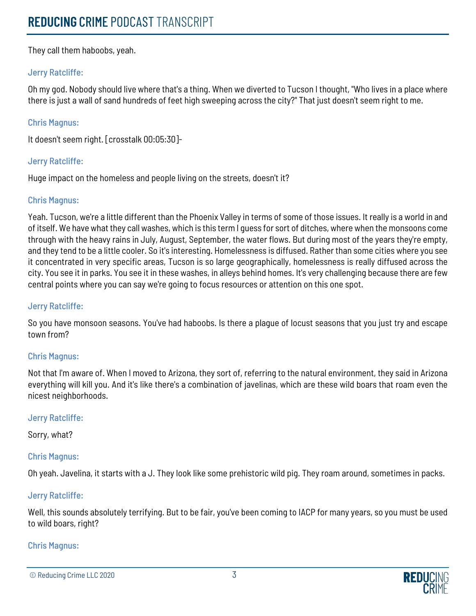They call them haboobs, yeah.

# Jerry Ratcliffe:

Oh my god. Nobody should live where that's a thing. When we diverted to Tucson I thought, "Who lives in a place where there is just a wall of sand hundreds of feet high sweeping across the city?" That just doesn't seem right to me.

# Chris Magnus:

It doesn't seem right. [crosstalk 00:05:30]-

# Jerry Ratcliffe:

Huge impact on the homeless and people living on the streets, doesn't it?

# Chris Magnus:

Yeah. Tucson, we're a little different than the Phoenix Valley in terms of some of those issues. It really is a world in and of itself. We have what they call washes, which is this term I guess for sort of ditches, where when the monsoons come through with the heavy rains in July, August, September, the water flows. But during most of the years they're empty, and they tend to be a little cooler. So it's interesting. Homelessness is diffused. Rather than some cities where you see it concentrated in very specific areas, Tucson is so large geographically, homelessness is really diffused across the city. You see it in parks. You see it in these washes, in alleys behind homes. It's very challenging because there are few central points where you can say we're going to focus resources or attention on this one spot.

# Jerry Ratcliffe:

So you have monsoon seasons. You've had haboobs. Is there a plague of locust seasons that you just try and escape town from?

# Chris Magnus:

Not that I'm aware of. When I moved to Arizona, they sort of, referring to the natural environment, they said in Arizona everything will kill you. And it's like there's a combination of javelinas, which are these wild boars that roam even the nicest neighborhoods.

# Jerry Ratcliffe:

Sorry, what?

# Chris Magnus:

Oh yeah. Javelina, it starts with a J. They look like some prehistoric wild pig. They roam around, sometimes in packs.

# Jerry Ratcliffe:

Well, this sounds absolutely terrifying. But to be fair, you've been coming to IACP for many years, so you must be used to wild boars, right?



<sup>©</sup> Reducing Crime LLC 2020 3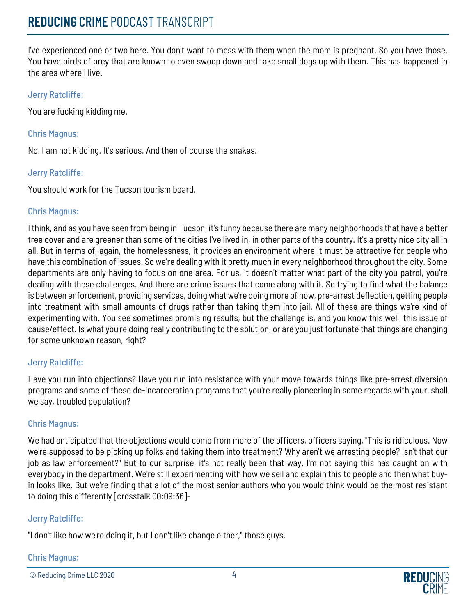I've experienced one or two here. You don't want to mess with them when the mom is pregnant. So you have those. You have birds of prey that are known to even swoop down and take small dogs up with them. This has happened in the area where I live.

# Jerry Ratcliffe:

You are fucking kidding me.

#### Chris Magnus:

No, I am not kidding. It's serious. And then of course the snakes.

#### Jerry Ratcliffe:

You should work for the Tucson tourism board.

#### Chris Magnus:

I think, and as you have seen from being in Tucson, it's funny because there are many neighborhoods that have a better tree cover and are greener than some of the cities I've lived in, in other parts of the country. It's a pretty nice city all in all. But in terms of, again, the homelessness, it provides an environment where it must be attractive for people who have this combination of issues. So we're dealing with it pretty much in every neighborhood throughout the city. Some departments are only having to focus on one area. For us, it doesn't matter what part of the city you patrol, you're dealing with these challenges. And there are crime issues that come along with it. So trying to find what the balance is between enforcement, providing services, doing what we're doing more of now, pre-arrest deflection, getting people into treatment with small amounts of drugs rather than taking them into jail. All of these are things we're kind of experimenting with. You see sometimes promising results, but the challenge is, and you know this well, this issue of cause/effect. Is what you're doing really contributing to the solution, or are you just fortunate that things are changing for some unknown reason, right?

# Jerry Ratcliffe:

Have you run into objections? Have you run into resistance with your move towards things like pre-arrest diversion programs and some of these de-incarceration programs that you're really pioneering in some regards with your, shall we say, troubled population?

# Chris Magnus:

We had anticipated that the objections would come from more of the officers, officers saying, "This is ridiculous. Now we're supposed to be picking up folks and taking them into treatment? Why aren't we arresting people? Isn't that our job as law enforcement?" But to our surprise, it's not really been that way. I'm not saying this has caught on with everybody in the department. We're still experimenting with how we sell and explain this to people and then what buyin looks like. But we're finding that a lot of the most senior authors who you would think would be the most resistant to doing this differently [crosstalk 00:09:36]-

# Jerry Ratcliffe:

"I don't like how we're doing it, but I don't like change either," those guys.

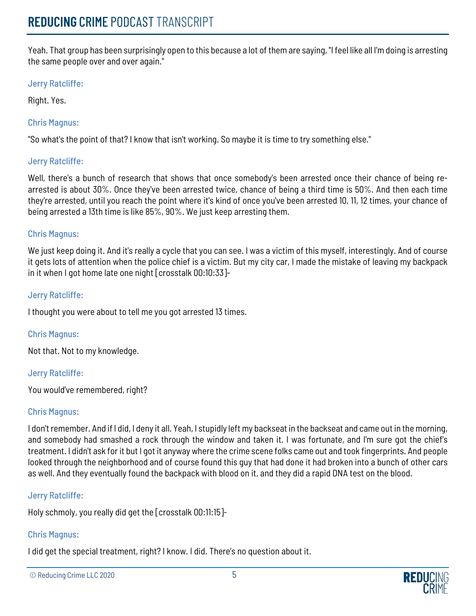Yeah. That group has been surprisingly open to this because a lot of them are saying, "I feel like all I'm doing is arresting the same people over and over again."

# Jerry Ratcliffe:

Right. Yes.

# Chris Magnus:

"So what's the point of that? I know that isn't working. So maybe it is time to try something else."

# Jerry Ratcliffe:

Well, there's a bunch of research that shows that once somebody's been arrested once their chance of being rearrested is about 30%. Once they've been arrested twice, chance of being a third time is 50%. And then each time they're arrested, until you reach the point where it's kind of once you've been arrested 10, 11, 12 times, your chance of being arrested a 13th time is like 85%, 90%. We just keep arresting them.

# Chris Magnus:

We just keep doing it. And it's really a cycle that you can see. I was a victim of this myself, interestingly. And of course it gets lots of attention when the police chief is a victim. But my city car, I made the mistake of leaving my backpack in it when I got home late one night [crosstalk 00:10:33]-

# Jerry Ratcliffe:

I thought you were about to tell me you got arrested 13 times.

# Chris Magnus:

Not that. Not to my knowledge.

# Jerry Ratcliffe:

You would've remembered, right?

# Chris Magnus:

I don't remember. And if I did, I deny it all. Yeah, I stupidly left my backseat in the backseat and came out in the morning, and somebody had smashed a rock through the window and taken it. I was fortunate, and I'm sure got the chief's treatment. I didn't ask for it but I got it anyway where the crime scene folks came out and took fingerprints. And people looked through the neighborhood and of course found this guy that had done it had broken into a bunch of other cars as well. And they eventually found the backpack with blood on it, and they did a rapid DNA test on the blood.

# Jerry Ratcliffe:

Holy schmoly, you really did get the [crosstalk 00:11:15]-

# Chris Magnus:

I did get the special treatment, right? I know. I did. There's no question about it.

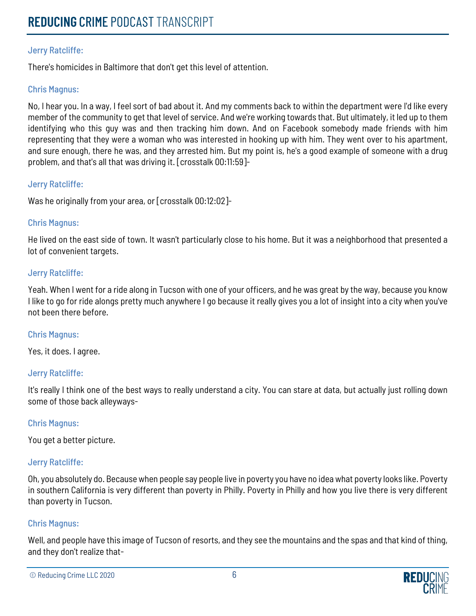# Jerry Ratcliffe:

There's homicides in Baltimore that don't get this level of attention.

# Chris Magnus:

No, I hear you. In a way, I feel sort of bad about it. And my comments back to within the department were I'd like every member of the community to get that level of service. And we're working towards that. But ultimately, it led up to them identifying who this guy was and then tracking him down. And on Facebook somebody made friends with him representing that they were a woman who was interested in hooking up with him. They went over to his apartment, and sure enough, there he was, and they arrested him. But my point is, he's a good example of someone with a drug problem, and that's all that was driving it. [crosstalk 00:11:59]-

# Jerry Ratcliffe:

Was he originally from your area, or [crosstalk 00:12:02]-

# Chris Magnus:

He lived on the east side of town. It wasn't particularly close to his home. But it was a neighborhood that presented a lot of convenient targets.

#### Jerry Ratcliffe:

Yeah. When I went for a ride along in Tucson with one of your officers, and he was great by the way, because you know I like to go for ride alongs pretty much anywhere I go because it really gives you a lot of insight into a city when you've not been there before.

#### Chris Magnus:

Yes, it does. I agree.

# Jerry Ratcliffe:

It's really I think one of the best ways to really understand a city. You can stare at data, but actually just rolling down some of those back alleyways-

#### Chris Magnus:

You get a better picture.

# Jerry Ratcliffe:

Oh, you absolutely do. Because when people say people live in poverty you have no idea what poverty looks like. Poverty in southern California is very different than poverty in Philly. Poverty in Philly and how you live there is very different than poverty in Tucson.

# Chris Magnus:

Well, and people have this image of Tucson of resorts, and they see the mountains and the spas and that kind of thing, and they don't realize that-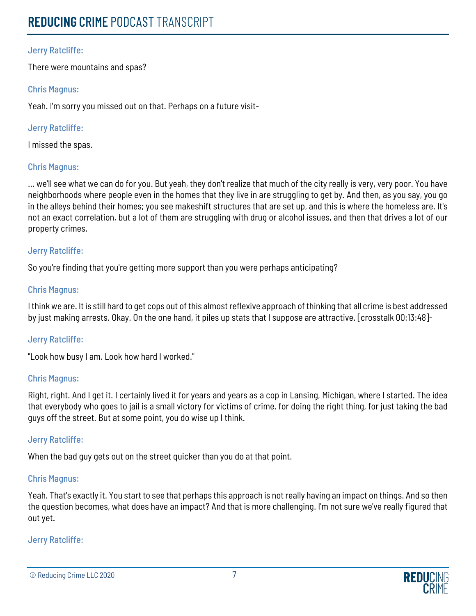# Jerry Ratcliffe:

There were mountains and spas?

# Chris Magnus:

Yeah. I'm sorry you missed out on that. Perhaps on a future visit-

# Jerry Ratcliffe:

I missed the spas.

# Chris Magnus:

... we'll see what we can do for you. But yeah, they don't realize that much of the city really is very, very poor. You have neighborhoods where people even in the homes that they live in are struggling to get by. And then, as you say, you go in the alleys behind their homes; you see makeshift structures that are set up, and this is where the homeless are. It's not an exact correlation, but a lot of them are struggling with drug or alcohol issues, and then that drives a lot of our property crimes.

# Jerry Ratcliffe:

So you're finding that you're getting more support than you were perhaps anticipating?

# Chris Magnus:

I think we are. It is still hard to get cops out of this almost reflexive approach of thinking that all crime is best addressed by just making arrests. Okay. On the one hand, it piles up stats that I suppose are attractive. [crosstalk 00:13:48]-

# Jerry Ratcliffe:

"Look how busy I am. Look how hard I worked."

# Chris Magnus:

Right, right. And I get it. I certainly lived it for years and years as a cop in Lansing, Michigan, where I started. The idea that everybody who goes to jail is a small victory for victims of crime, for doing the right thing, for just taking the bad guys off the street. But at some point, you do wise up I think.

# Jerry Ratcliffe:

When the bad guy gets out on the street quicker than you do at that point.

# Chris Magnus:

Yeah. That's exactly it. You start to see that perhaps this approach is not really having an impact on things. And so then the question becomes, what does have an impact? And that is more challenging. I'm not sure we've really figured that out yet.

<sup>©</sup> Reducing Crime LLC 2020 7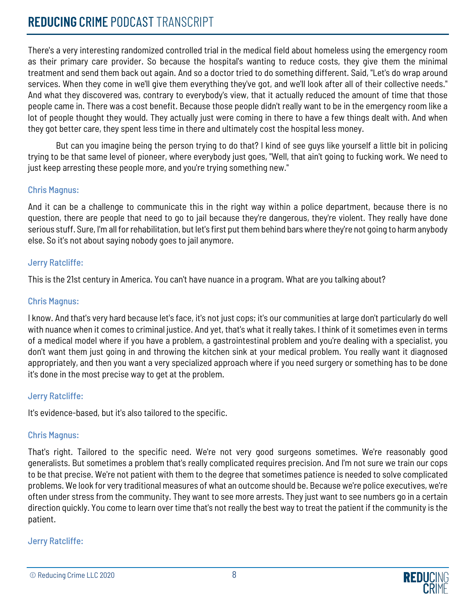# **REDUCING** CRIME PODCAST TRANSCRIPT

There's a very interesting randomized controlled trial in the medical field about homeless using the emergency room as their primary care provider. So because the hospital's wanting to reduce costs, they give them the minimal treatment and send them back out again. And so a doctor tried to do something different. Said, "Let's do wrap around services. When they come in we'll give them everything they've got, and we'll look after all of their collective needs." And what they discovered was, contrary to everybody's view, that it actually reduced the amount of time that those people came in. There was a cost benefit. Because those people didn't really want to be in the emergency room like a lot of people thought they would. They actually just were coming in there to have a few things dealt with. And when they got better care, they spent less time in there and ultimately cost the hospital less money.

But can you imagine being the person trying to do that? I kind of see guys like yourself a little bit in policing trying to be that same level of pioneer, where everybody just goes, "Well, that ain't going to fucking work. We need to just keep arresting these people more, and you're trying something new."

# Chris Magnus:

And it can be a challenge to communicate this in the right way within a police department, because there is no question, there are people that need to go to jail because they're dangerous, they're violent. They really have done serious stuff. Sure, I'm all for rehabilitation, but let's first put them behind bars where they're not going to harm anybody else. So it's not about saying nobody goes to jail anymore.

# Jerry Ratcliffe:

This is the 21st century in America. You can't have nuance in a program. What are you talking about?

# Chris Magnus:

I know. And that's very hard because let's face, it's not just cops; it's our communities at large don't particularly do well with nuance when it comes to criminal justice. And yet, that's what it really takes. I think of it sometimes even in terms of a medical model where if you have a problem, a gastrointestinal problem and you're dealing with a specialist, you don't want them just going in and throwing the kitchen sink at your medical problem. You really want it diagnosed appropriately, and then you want a very specialized approach where if you need surgery or something has to be done it's done in the most precise way to get at the problem.

# Jerry Ratcliffe:

It's evidence-based, but it's also tailored to the specific.

# Chris Magnus:

That's right. Tailored to the specific need. We're not very good surgeons sometimes. We're reasonably good generalists. But sometimes a problem that's really complicated requires precision. And I'm not sure we train our cops to be that precise. We're not patient with them to the degree that sometimes patience is needed to solve complicated problems. We look for very traditional measures of what an outcome should be. Because we're police executives, we're often under stress from the community. They want to see more arrests. They just want to see numbers go in a certain direction quickly. You come to learn over time that's not really the best way to treat the patient if the community is the patient.

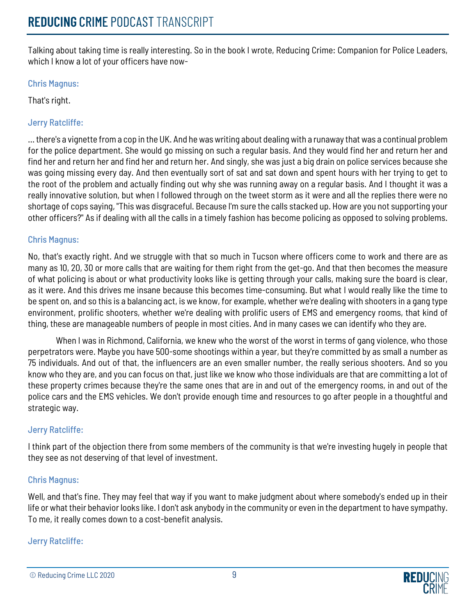Talking about taking time is really interesting. So in the book I wrote, Reducing Crime: Companion for Police Leaders, which I know a lot of your officers have now-

# Chris Magnus:

That's right.

# Jerry Ratcliffe:

... there's a vignette from a cop in the UK. And he was writing about dealing with a runaway that was a continual problem for the police department. She would go missing on such a regular basis. And they would find her and return her and find her and return her and find her and return her. And singly, she was just a big drain on police services because she was going missing every day. And then eventually sort of sat and sat down and spent hours with her trying to get to the root of the problem and actually finding out why she was running away on a regular basis. And I thought it was a really innovative solution, but when I followed through on the tweet storm as it were and all the replies there were no shortage of cops saying, "This was disgraceful. Because I'm sure the calls stacked up. How are you not supporting your other officers?" As if dealing with all the calls in a timely fashion has become policing as opposed to solving problems.

# Chris Magnus:

No, that's exactly right. And we struggle with that so much in Tucson where officers come to work and there are as many as 10, 20, 30 or more calls that are waiting for them right from the get-go. And that then becomes the measure of what policing is about or what productivity looks like is getting through your calls, making sure the board is clear, as it were. And this drives me insane because this becomes time-consuming. But what I would really like the time to be spent on, and so this is a balancing act, is we know, for example, whether we're dealing with shooters in a gang type environment, prolific shooters, whether we're dealing with prolific users of EMS and emergency rooms, that kind of thing, these are manageable numbers of people in most cities. And in many cases we can identify who they are.

When I was in Richmond, California, we knew who the worst of the worst in terms of gang violence, who those perpetrators were. Maybe you have 500-some shootings within a year, but they're committed by as small a number as 75 individuals. And out of that, the influencers are an even smaller number, the really serious shooters. And so you know who they are, and you can focus on that, just like we know who those individuals are that are committing a lot of these property crimes because they're the same ones that are in and out of the emergency rooms, in and out of the police cars and the EMS vehicles. We don't provide enough time and resources to go after people in a thoughtful and strategic way.

# Jerry Ratcliffe:

I think part of the objection there from some members of the community is that we're investing hugely in people that they see as not deserving of that level of investment.

# Chris Magnus:

Well, and that's fine. They may feel that way if you want to make judgment about where somebody's ended up in their life or what their behavior looks like. I don't ask anybody in the community or even in the department to have sympathy. To me, it really comes down to a cost-benefit analysis.

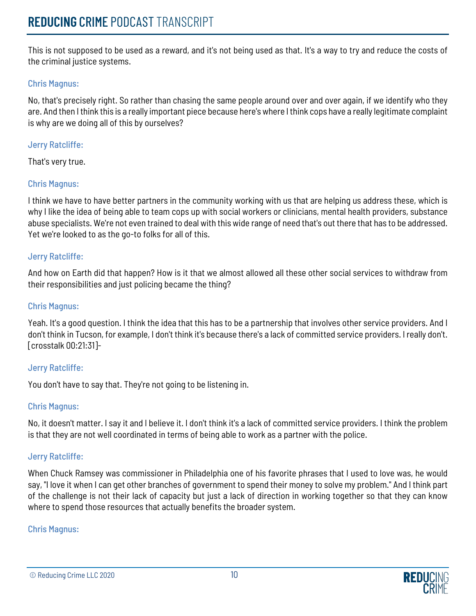This is not supposed to be used as a reward, and it's not being used as that. It's a way to try and reduce the costs of the criminal justice systems.

# Chris Magnus:

No, that's precisely right. So rather than chasing the same people around over and over again, if we identify who they are. And then I think this is a really important piece because here's where I think cops have a really legitimate complaint is why are we doing all of this by ourselves?

# Jerry Ratcliffe:

That's very true.

# Chris Magnus:

I think we have to have better partners in the community working with us that are helping us address these, which is why I like the idea of being able to team cops up with social workers or clinicians, mental health providers, substance abuse specialists. We're not even trained to deal with this wide range of need that's out there that has to be addressed. Yet we're looked to as the go-to folks for all of this.

# Jerry Ratcliffe:

And how on Earth did that happen? How is it that we almost allowed all these other social services to withdraw from their responsibilities and just policing became the thing?

#### Chris Magnus:

Yeah. It's a good question. I think the idea that this has to be a partnership that involves other service providers. And I don't think in Tucson, for example, I don't think it's because there's a lack of committed service providers. I really don't. [crosstalk 00:21:31]-

# Jerry Ratcliffe:

You don't have to say that. They're not going to be listening in.

# Chris Magnus:

No, it doesn't matter. I say it and I believe it. I don't think it's a lack of committed service providers. I think the problem is that they are not well coordinated in terms of being able to work as a partner with the police.

# Jerry Ratcliffe:

When Chuck Ramsey was commissioner in Philadelphia one of his favorite phrases that I used to love was, he would say, "I love it when I can get other branches of government to spend their money to solve my problem." And I think part of the challenge is not their lack of capacity but just a lack of direction in working together so that they can know where to spend those resources that actually benefits the broader system.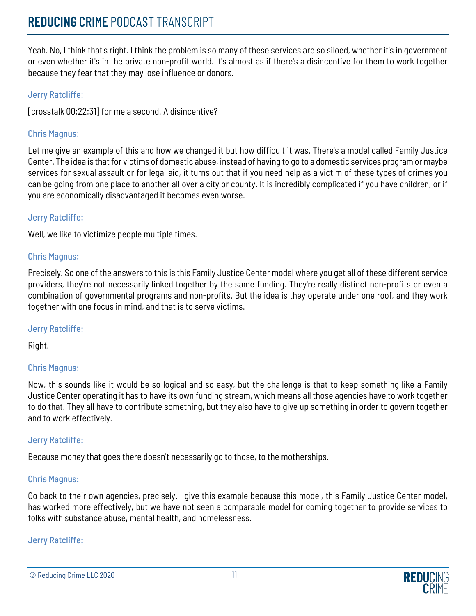Yeah. No, I think that's right. I think the problem is so many of these services are so siloed, whether it's in government or even whether it's in the private non-profit world. It's almost as if there's a disincentive for them to work together because they fear that they may lose influence or donors.

# Jerry Ratcliffe:

[crosstalk 00:22:31] for me a second. A disincentive?

# Chris Magnus:

Let me give an example of this and how we changed it but how difficult it was. There's a model called Family Justice Center. The idea is that for victims of domestic abuse, instead of having to go to a domestic services program or maybe services for sexual assault or for legal aid, it turns out that if you need help as a victim of these types of crimes you can be going from one place to another all over a city or county. It is incredibly complicated if you have children, or if you are economically disadvantaged it becomes even worse.

# Jerry Ratcliffe:

Well, we like to victimize people multiple times.

# Chris Magnus:

Precisely. So one of the answers to this is this Family Justice Center model where you get all of these different service providers, they're not necessarily linked together by the same funding. They're really distinct non-profits or even a combination of governmental programs and non-profits. But the idea is they operate under one roof, and they work together with one focus in mind, and that is to serve victims.

# Jerry Ratcliffe:

Right.

# Chris Magnus:

Now, this sounds like it would be so logical and so easy, but the challenge is that to keep something like a Family Justice Center operating it has to have its own funding stream, which means all those agencies have to work together to do that. They all have to contribute something, but they also have to give up something in order to govern together and to work effectively.

# Jerry Ratcliffe:

Because money that goes there doesn't necessarily go to those, to the motherships.

# Chris Magnus:

Go back to their own agencies, precisely. I give this example because this model, this Family Justice Center model, has worked more effectively, but we have not seen a comparable model for coming together to provide services to folks with substance abuse, mental health, and homelessness.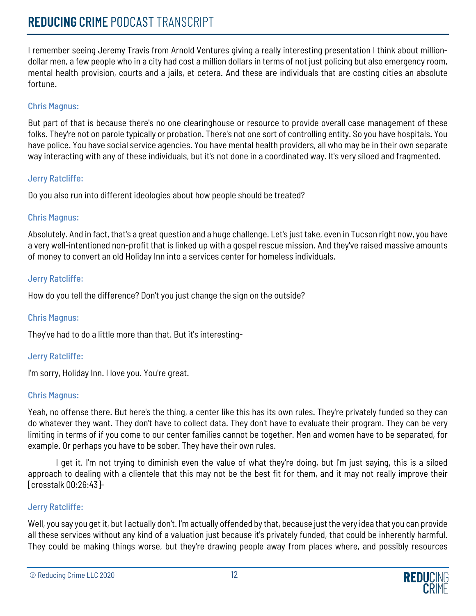# **REDUCING** CRIME PODCAST TRANSCRIPT

I remember seeing Jeremy Travis from Arnold Ventures giving a really interesting presentation I think about milliondollar men, a few people who in a city had cost a million dollars in terms of not just policing but also emergency room, mental health provision, courts and a jails, et cetera. And these are individuals that are costing cities an absolute fortune.

# Chris Magnus:

But part of that is because there's no one clearinghouse or resource to provide overall case management of these folks. They're not on parole typically or probation. There's not one sort of controlling entity. So you have hospitals. You have police. You have social service agencies. You have mental health providers, all who may be in their own separate way interacting with any of these individuals, but it's not done in a coordinated way. It's very siloed and fragmented.

# Jerry Ratcliffe:

Do you also run into different ideologies about how people should be treated?

# Chris Magnus:

Absolutely. And in fact, that's a great question and a huge challenge. Let's just take, even in Tucson right now, you have a very well-intentioned non-profit that is linked up with a gospel rescue mission. And they've raised massive amounts of money to convert an old Holiday Inn into a services center for homeless individuals.

# Jerry Ratcliffe:

How do you tell the difference? Don't you just change the sign on the outside?

# Chris Magnus:

They've had to do a little more than that. But it's interesting-

# Jerry Ratcliffe:

I'm sorry, Holiday Inn. I love you. You're great.

# Chris Magnus:

Yeah, no offense there. But here's the thing, a center like this has its own rules. They're privately funded so they can do whatever they want. They don't have to collect data. They don't have to evaluate their program. They can be very limiting in terms of if you come to our center families cannot be together. Men and women have to be separated, for example. Or perhaps you have to be sober. They have their own rules.

I get it. I'm not trying to diminish even the value of what they're doing, but I'm just saying, this is a siloed approach to dealing with a clientele that this may not be the best fit for them, and it may not really improve their [crosstalk 00:26:43]-

# Jerry Ratcliffe:

Well, you say you get it, but I actually don't. I'm actually offended by that, because just the very idea that you can provide all these services without any kind of a valuation just because it's privately funded, that could be inherently harmful. They could be making things worse, but they're drawing people away from places where, and possibly resources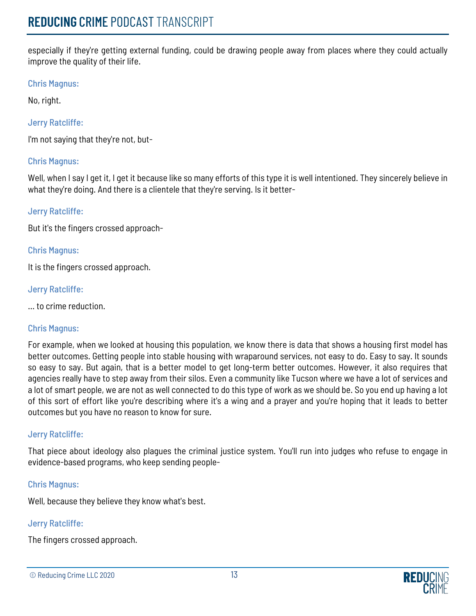especially if they're getting external funding, could be drawing people away from places where they could actually improve the quality of their life.

# Chris Magnus:

No, right.

# Jerry Ratcliffe:

I'm not saying that they're not, but-

# Chris Magnus:

Well, when I say I get it, I get it because like so many efforts of this type it is well intentioned. They sincerely believe in what they're doing. And there is a clientele that they're serving. Is it better-

# Jerry Ratcliffe:

But it's the fingers crossed approach-

# Chris Magnus:

It is the fingers crossed approach.

# Jerry Ratcliffe:

... to crime reduction.

# Chris Magnus:

For example, when we looked at housing this population, we know there is data that shows a housing first model has better outcomes. Getting people into stable housing with wraparound services, not easy to do. Easy to say. It sounds so easy to say. But again, that is a better model to get long-term better outcomes. However, it also requires that agencies really have to step away from their silos. Even a community like Tucson where we have a lot of services and a lot of smart people, we are not as well connected to do this type of work as we should be. So you end up having a lot of this sort of effort like you're describing where it's a wing and a prayer and you're hoping that it leads to better outcomes but you have no reason to know for sure.

# Jerry Ratcliffe:

That piece about ideology also plagues the criminal justice system. You'll run into judges who refuse to engage in evidence-based programs, who keep sending people-

# Chris Magnus:

Well, because they believe they know what's best.

# Jerry Ratcliffe:

The fingers crossed approach.

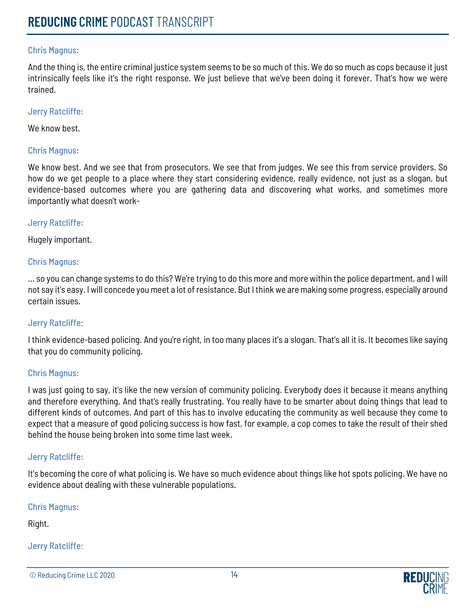# Chris Magnus:

And the thing is, the entire criminal justice system seems to be so much of this. We do so much as cops because it just intrinsically feels like it's the right response. We just believe that we've been doing it forever. That's how we were trained.

#### Jerry Ratcliffe:

We know best.

#### Chris Magnus:

We know best. And we see that from prosecutors. We see that from judges. We see this from service providers. So how do we get people to a place where they start considering evidence, really evidence, not just as a slogan, but evidence-based outcomes where you are gathering data and discovering what works, and sometimes more importantly what doesn't work-

#### Jerry Ratcliffe:

Hugely important.

#### Chris Magnus:

... so you can change systems to do this? We're trying to do this more and more within the police department, and I will not say it's easy. I will concede you meet a lot of resistance. But I think we are making some progress, especially around certain issues.

#### Jerry Ratcliffe:

I think evidence-based policing. And you're right, in too many places it's a slogan. That's all it is. It becomes like saying that you do community policing.

#### Chris Magnus:

I was just going to say, it's like the new version of community policing. Everybody does it because it means anything and therefore everything. And that's really frustrating. You really have to be smarter about doing things that lead to different kinds of outcomes. And part of this has to involve educating the community as well because they come to expect that a measure of good policing success is how fast, for example, a cop comes to take the result of their shed behind the house being broken into some time last week.

#### Jerry Ratcliffe:

It's becoming the core of what policing is. We have so much evidence about things like hot spots policing. We have no evidence about dealing with these vulnerable populations.

Chris Magnus:

Right.

<sup>©</sup> Reducing Crime LLC 2020 14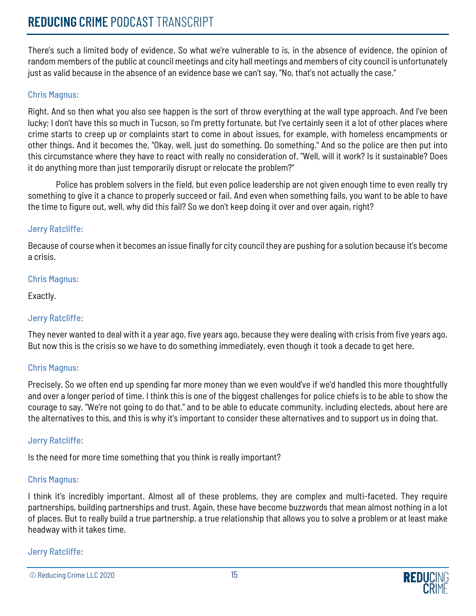There's such a limited body of evidence. So what we're vulnerable to is, in the absence of evidence, the opinion of random members of the public at council meetings and city hall meetings and members of city council is unfortunately just as valid because in the absence of an evidence base we can't say, "No, that's not actually the case."

# Chris Magnus:

Right. And so then what you also see happen is the sort of throw everything at the wall type approach. And I've been lucky; I don't have this so much in Tucson, so I'm pretty fortunate, but I've certainly seen it a lot of other places where crime starts to creep up or complaints start to come in about issues, for example, with homeless encampments or other things. And it becomes the, "Okay, well, just do something. Do something." And so the police are then put into this circumstance where they have to react with really no consideration of, "Well, will it work? Is it sustainable? Does it do anything more than just temporarily disrupt or relocate the problem?"

Police has problem solvers in the field, but even police leadership are not given enough time to even really try something to give it a chance to properly succeed or fail. And even when something fails, you want to be able to have the time to figure out, well, why did this fail? So we don't keep doing it over and over again, right?

# Jerry Ratcliffe:

Because of course when it becomes an issue finally for city council they are pushing for a solution because it's become a crisis.

# Chris Magnus:

Exactly.

# Jerry Ratcliffe:

They never wanted to deal with it a year ago, five years ago, because they were dealing with crisis from five years ago. But now this is the crisis so we have to do something immediately, even though it took a decade to get here.

# Chris Magnus:

Precisely. So we often end up spending far more money than we even would've if we'd handled this more thoughtfully and over a longer period of time. I think this is one of the biggest challenges for police chiefs is to be able to show the courage to say, "We're not going to do that," and to be able to educate community, including electeds, about here are the alternatives to this, and this is why it's important to consider these alternatives and to support us in doing that.

# Jerry Ratcliffe:

Is the need for more time something that you think is really important?

# Chris Magnus:

I think it's incredibly important. Almost all of these problems, they are complex and multi-faceted. They require partnerships, building partnerships and trust. Again, these have become buzzwords that mean almost nothing in a lot of places. But to really build a true partnership, a true relationship that allows you to solve a problem or at least make headway with it takes time.

<sup>©</sup> Reducing Crime LLC 2020 15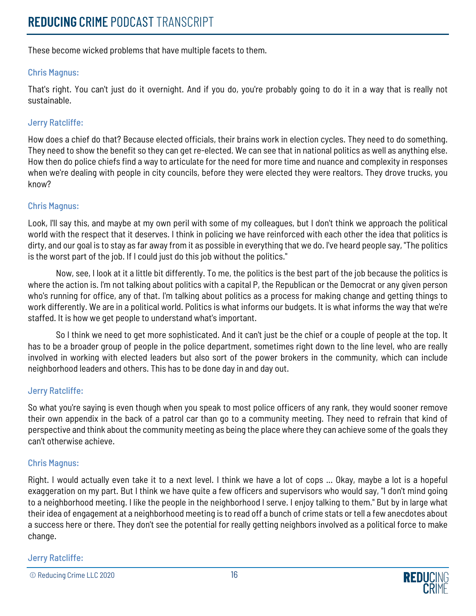These become wicked problems that have multiple facets to them.

# Chris Magnus:

That's right. You can't just do it overnight. And if you do, you're probably going to do it in a way that is really not sustainable.

# Jerry Ratcliffe:

How does a chief do that? Because elected officials, their brains work in election cycles. They need to do something. They need to show the benefit so they can get re-elected. We can see that in national politics as well as anything else. How then do police chiefs find a way to articulate for the need for more time and nuance and complexity in responses when we're dealing with people in city councils, before they were elected they were realtors. They drove trucks, you know?

# Chris Magnus:

Look, I'll say this, and maybe at my own peril with some of my colleagues, but I don't think we approach the political world with the respect that it deserves. I think in policing we have reinforced with each other the idea that politics is dirty, and our goal is to stay as far away from it as possible in everything that we do. I've heard people say, "The politics is the worst part of the job. If I could just do this job without the politics."

Now, see, I look at it a little bit differently. To me, the politics is the best part of the job because the politics is where the action is. I'm not talking about politics with a capital P, the Republican or the Democrat or any given person who's running for office, any of that. I'm talking about politics as a process for making change and getting things to work differently. We are in a political world. Politics is what informs our budgets. It is what informs the way that we're staffed. It is how we get people to understand what's important.

So I think we need to get more sophisticated. And it can't just be the chief or a couple of people at the top. It has to be a broader group of people in the police department, sometimes right down to the line level, who are really involved in working with elected leaders but also sort of the power brokers in the community, which can include neighborhood leaders and others. This has to be done day in and day out.

# Jerry Ratcliffe:

So what you're saying is even though when you speak to most police officers of any rank, they would sooner remove their own appendix in the back of a patrol car than go to a community meeting. They need to refrain that kind of perspective and think about the community meeting as being the place where they can achieve some of the goals they can't otherwise achieve.

# Chris Magnus:

Right. I would actually even take it to a next level. I think we have a lot of cops ... Okay, maybe a lot is a hopeful exaggeration on my part. But I think we have quite a few officers and supervisors who would say, "I don't mind going to a neighborhood meeting. I like the people in the neighborhood I serve. I enjoy talking to them." But by in large what their idea of engagement at a neighborhood meeting is to read off a bunch of crime stats or tell a few anecdotes about a success here or there. They don't see the potential for really getting neighbors involved as a political force to make change.

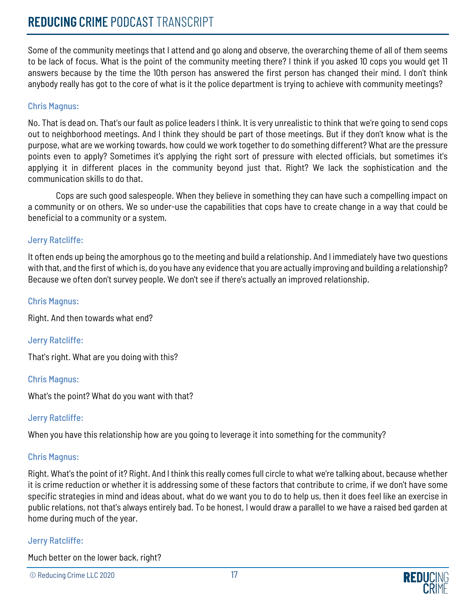# **REDUCING** CRIME PODCAST TRANSCRIPT

Some of the community meetings that I attend and go along and observe, the overarching theme of all of them seems to be lack of focus. What is the point of the community meeting there? I think if you asked 10 cops you would get 11 answers because by the time the 10th person has answered the first person has changed their mind. I don't think anybody really has got to the core of what is it the police department is trying to achieve with community meetings?

# Chris Magnus:

No. That is dead on. That's our fault as police leaders I think. It is very unrealistic to think that we're going to send cops out to neighborhood meetings. And I think they should be part of those meetings. But if they don't know what is the purpose, what are we working towards, how could we work together to do something different? What are the pressure points even to apply? Sometimes it's applying the right sort of pressure with elected officials, but sometimes it's applying it in different places in the community beyond just that. Right? We lack the sophistication and the communication skills to do that.

Cops are such good salespeople. When they believe in something they can have such a compelling impact on a community or on others. We so under-use the capabilities that cops have to create change in a way that could be beneficial to a community or a system.

# Jerry Ratcliffe:

It often ends up being the amorphous go to the meeting and build a relationship. And I immediately have two questions with that, and the first of which is, do you have any evidence that you are actually improving and building a relationship? Because we often don't survey people. We don't see if there's actually an improved relationship.

#### Chris Magnus:

Right. And then towards what end?

# Jerry Ratcliffe:

That's right. What are you doing with this?

# Chris Magnus:

What's the point? What do you want with that?

# Jerry Ratcliffe:

When you have this relationship how are you going to leverage it into something for the community?

# Chris Magnus:

Right. What's the point of it? Right. And I think this really comes full circle to what we're talking about, because whether it is crime reduction or whether it is addressing some of these factors that contribute to crime, if we don't have some specific strategies in mind and ideas about, what do we want you to do to help us, then it does feel like an exercise in public relations, not that's always entirely bad. To be honest, I would draw a parallel to we have a raised bed garden at home during much of the year.

# Jerry Ratcliffe:

Much better on the lower back, right?

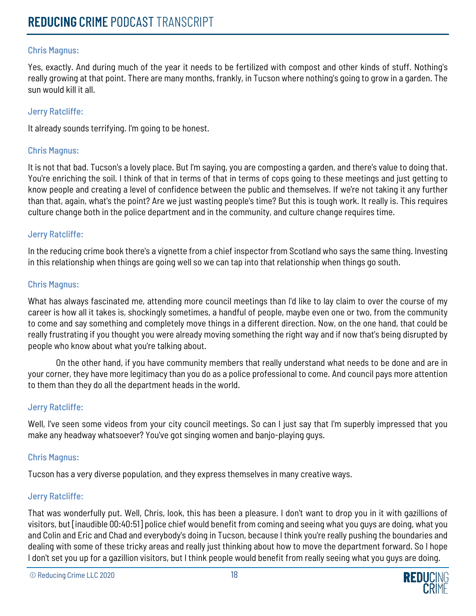# Chris Magnus:

Yes, exactly. And during much of the year it needs to be fertilized with compost and other kinds of stuff. Nothing's really growing at that point. There are many months, frankly, in Tucson where nothing's going to grow in a garden. The sun would kill it all.

#### Jerry Ratcliffe:

It already sounds terrifying. I'm going to be honest.

# Chris Magnus:

It is not that bad. Tucson's a lovely place. But I'm saying, you are composting a garden, and there's value to doing that. You're enriching the soil. I think of that in terms of that in terms of cops going to these meetings and just getting to know people and creating a level of confidence between the public and themselves. If we're not taking it any further than that, again, what's the point? Are we just wasting people's time? But this is tough work. It really is. This requires culture change both in the police department and in the community, and culture change requires time.

#### Jerry Ratcliffe:

In the reducing crime book there's a vignette from a chief inspector from Scotland who says the same thing. Investing in this relationship when things are going well so we can tap into that relationship when things go south.

#### Chris Magnus:

What has always fascinated me, attending more council meetings than I'd like to lay claim to over the course of my career is how all it takes is, shockingly sometimes, a handful of people, maybe even one or two, from the community to come and say something and completely move things in a different direction. Now, on the one hand, that could be really frustrating if you thought you were already moving something the right way and if now that's being disrupted by people who know about what you're talking about.

On the other hand, if you have community members that really understand what needs to be done and are in your corner, they have more legitimacy than you do as a police professional to come. And council pays more attention to them than they do all the department heads in the world.

# Jerry Ratcliffe:

Well, I've seen some videos from your city council meetings. So can I just say that I'm superbly impressed that you make any headway whatsoever? You've got singing women and banjo-playing guys.

# Chris Magnus:

Tucson has a very diverse population, and they express themselves in many creative ways.

# Jerry Ratcliffe:

That was wonderfully put. Well, Chris, look, this has been a pleasure. I don't want to drop you in it with gazillions of visitors, but [inaudible 00:40:51] police chief would benefit from coming and seeing what you guys are doing, what you and Colin and Eric and Chad and everybody's doing in Tucson, because I think you're really pushing the boundaries and dealing with some of these tricky areas and really just thinking about how to move the department forward. So I hope I don't set you up for a gazillion visitors, but I think people would benefit from really seeing what you guys are doing.